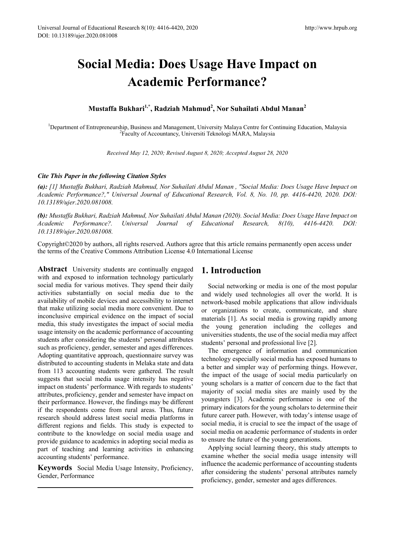# **Social Media: Does Usage Have Impact on Academic Performance?**

**Mustaffa Bukhari1,\*, Radziah Mahmud2 , Nor Suhailati Abdul Manan<sup>2</sup>**

<sup>1</sup>Department of Entrepreneurship, Business and Management, University Malaya Centre for Continuing Education, Malaysia<br><sup>2</sup>Eaculty of Accountancy Universiti Teknologi MARA, Malaysia Faculty of Accountancy, Universiti Teknologi MARA, Malaysia

*Received May 12, 2020; Revised August 8, 2020; Accepted August 28, 2020*

#### *Cite This Paper in the following Citation Styles*

*(a): [1] Mustaffa Bukhari, Radziah Mahmud, Nor Suhailati Abdul Manan , "Social Media: Does Usage Have Impact on Academic Performance?," Universal Journal of Educational Research, Vol. 8, No. 10, pp. 4416-4420, 2020. DOI: 10.13189/ujer.2020.081008.* 

*(b): Mustaffa Bukhari, Radziah Mahmud, Nor Suhailati Abdul Manan (2020). Social Media: Does Usage Have Impact on Academic Performance?. Universal Journal of Educational Research, 8(10), 4416-4420. DOI: 10.13189/ujer.2020.081008.* 

Copyright©2020 by authors, all rights reserved. Authors agree that this article remains permanently open access under the terms of the Creative Commons Attribution License 4.0 International License

**Abstract** University students are continually engaged with and exposed to information technology particularly social media for various motives. They spend their daily activities substantially on social media due to the availability of mobile devices and accessibility to internet that make utilizing social media more convenient. Due to inconclusive empirical evidence on the impact of social media, this study investigates the impact of social media usage intensity on the academic performance of accounting students after considering the students' personal attributes such as proficiency, gender, semester and ages differences. Adopting quantitative approach, questionnaire survey was distributed to accounting students in Melaka state and data from 113 accounting students were gathered. The result suggests that social media usage intensity has negative impact on students' performance. With regards to students' attributes, proficiency, gender and semester have impact on their performance. However, the findings may be different if the respondents come from rural areas. Thus, future research should address latest social media platforms in different regions and fields. This study is expected to contribute to the knowledge on social media usage and provide guidance to academics in adopting social media as part of teaching and learning activities in enhancing accounting students' performance.

**Keywords** Social Media Usage Intensity, Proficiency, Gender, Performance

# **1. Introduction**

Social networking or media is one of the most popular and widely used technologies all over the world. It is network-based mobile applications that allow individuals or organizations to create, communicate, and share materials [1]. As social media is growing rapidly among the young generation including the colleges and universities students, the use of the social media may affect students' personal and professional live [2].

The emergence of information and communication technology especially social media has exposed humans to a better and simpler way of performing things. However, the impact of the usage of social media particularly on young scholars is a matter of concern due to the fact that majority of social media sites are mainly used by the youngsters [3]. Academic performance is one of the primary indicators for the young scholars to determine their future career path. However, with today's intense usage of social media, it is crucial to see the impact of the usage of social media on academic performance of students in order to ensure the future of the young generations.

Applying social learning theory, this study attempts to examine whether the social media usage intensity will influence the academic performance of accounting students after considering the students' personal attributes namely proficiency, gender, semester and ages differences.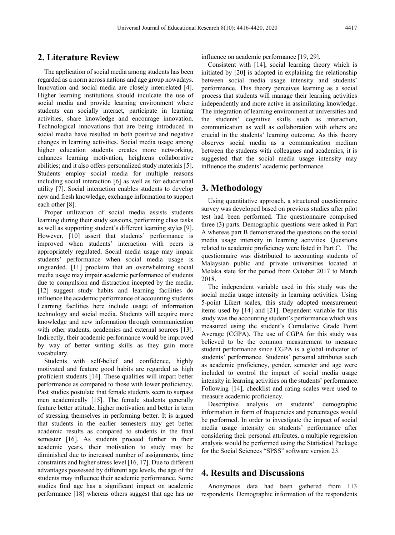## **2. Literature Review**

The application of social media among students has been regarded as a norm across nations and age group nowadays. Innovation and social media are closely interrelated [4]. Higher learning institutions should inculcate the use of social media and provide learning environment where students can socially interact, participate in learning activities, share knowledge and encourage innovation. Technological innovations that are being introduced in social media have resulted in both positive and negative changes in learning activities. Social media usage among higher education students creates more networking, enhances learning motivation, heightens collaborative abilities; and it also offers personalized study materials [5]. Students employ social media for multiple reasons including social interaction [6] as well as for educational utility [7]. Social interaction enables students to develop new and fresh knowledge, exchange information to support each other [8].

Proper utilization of social media assists students learning during their study sessions, performing class tasks as well as supporting student's different learning styles [9]. However, [10] assert that students' performance is improved when students' interaction with peers is appropriately regulated. Social media usage may impair students' performance when social media usage is unguarded. [11] proclaim that an overwhelming social media usage may impair academic performance of students due to compulsion and distraction incepted by the media. [12] suggest study habits and learning facilities do influence the academic performance of accounting students. Learning facilities here include usage of information technology and social media. Students will acquire more knowledge and new information through communication with other students, academics and external sources [13]. Indirectly, their academic performance would be improved by way of better writing skills as they gain more vocabulary.

Students with self-belief and confidence, highly motivated and feature good habits are regarded as high proficient students [14]. These qualities will impart better performance as compared to those with lower proficiency. Past studies postulate that female students seem to surpass men academically [15]. The female students generally feature better attitude, higher motivation and better in term of stressing themselves in performing better. It is argued that students in the earlier semesters may get better academic results as compared to students in the final semester [16]. As students proceed further in their academic years, their motivation to study may be diminished due to increased number of assignments, time constraints and higher stress level [16, 17]. Due to different advantages possessed by different age levels, the age of the students may influence their academic performance. Some studies find age has a significant impact on academic performance [18] whereas others suggest that age has no influence on academic performance [19, 29].

Consistent with [14], social learning theory which is initiated by [20] is adopted in explaining the relationship between social media usage intensity and students' performance. This theory perceives learning as a social process that students will manage their learning activities independently and more active in assimilating knowledge. The integration of learning environment at universities and the students' cognitive skills such as interaction, communication as well as collaboration with others are crucial in the students' learning outcome. As this theory observes social media as a communication medium between the students with colleagues and academics, it is suggested that the social media usage intensity may influence the students' academic performance.

#### **3. Methodology**

Using quantitative approach, a structured questionnaire survey was developed based on previous studies after pilot test had been performed. The questionnaire comprised three (3) parts. Demographic questions were asked in Part A whereas part B demonstrated the questions on the social media usage intensity in learning activities. Questions related to academic proficiency were listed in Part C. The questionnaire was distributed to accounting students of Malaysian public and private universities located at Melaka state for the period from October 2017 to March 2018.

The independent variable used in this study was the social media usage intensity in learning activities. Using 5-point Likert scales, this study adopted measurement items used by [14] and [21]. Dependent variable for this study was the accounting student's performance which was measured using the student's Cumulative Grade Point Average (CGPA). The use of CGPA for this study was believed to be the common measurement to measure student performance since CGPA is a global indicator of students' performance. Students' personal attributes such as academic proficiency, gender, semester and age were included to control the impact of social media usage intensity in learning activities on the students' performance. Following [14], checklist and rating scales were used to measure academic proficiency.

Descriptive analysis on students' demographic information in form of frequencies and percentages would be performed. In order to investigate the impact of social media usage intensity on students' performance after considering their personal attributes, a multiple regression analysis would be performed using the Statistical Package for the Social Sciences "SPSS" software version 23.

#### **4. Results and Discussions**

Anonymous data had been gathered from 113 respondents. Demographic information of the respondents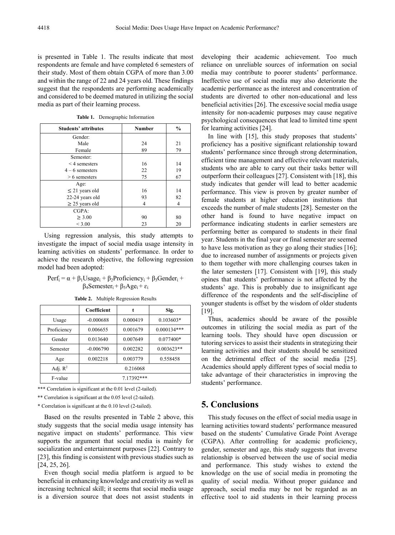is presented in Table 1. The results indicate that most respondents are female and have completed 6 semesters of their study. Most of them obtain CGPA of more than 3.00 and within the range of 22 and 24 years old. These findings suggest that the respondents are performing academically and considered to be deemed matured in utilizing the social media as part of their learning process.

| <b>Students' attributes</b> | <b>Number</b> | $\frac{6}{6}$ |
|-----------------------------|---------------|---------------|
| Gender:                     |               |               |
| Male                        | 24            | 21            |
| Female                      | 89            | 79            |
| Semester:                   |               |               |
| $\leq$ 4 semesters          | 16            | 14            |
| $4-6$ semesters             | 22            | 19            |
| $> 6$ semesters             | 75            | 67            |
| Age:                        |               |               |
| $\leq$ 21 years old         | 16            | 14            |
| 22-24 years old             | 93            | 82            |
| $\geq$ 25 years old         | 4             | 4             |
| CGPA:                       |               |               |
| $\geq 3.00$                 | 90            | 80            |
| ${}< 3.00$                  | 23            | 20            |

**Table 1.** Demographic Information

Using regression analysis, this study attempts to investigate the impact of social media usage intensity in learning activities on students' performance. In order to achieve the research objective, the following regression model had been adopted:

#### $Perf_i = \alpha + \beta_1Usage_i + \beta_2Proficience_i + \beta_3Gender_i +$  $β$ <sub>4</sub>Semester<sub>i</sub> +  $β$ <sub>5</sub>Age<sub>i</sub> + ε<sub>ί</sub>

|             | Coefficient | t        | Sig.          |
|-------------|-------------|----------|---------------|
| Usage       | $-0.000688$ | 0.000419 | $0.103603*$   |
| Proficiency | 0.006655    | 0.001679 | $0.000134***$ |
| Gender      | 0.013640    | 0.007649 | $0.077400*$   |
| Semester    | $-0.006790$ | 0.002282 | $0.003623**$  |
| Age         | 0.002218    | 0.003779 | 0.558458      |
| Adj. $R^2$  | 0.216068    |          |               |
| F-value     | 7.17392***  |          |               |

**Table 2.** Multiple Regression Results

\*\*\* Correlation is significant at the 0.01 level (2-tailed).

\*\* Correlation is significant at the 0.05 level (2-tailed).

\* Correlation is significant at the 0.10 level (2-tailed).

Based on the results presented in Table 2 above, this study suggests that the social media usage intensity has negative impact on students' performance. This view supports the argument that social media is mainly for socialization and entertainment purposes [22]. Contrary to [23], this finding is consistent with previous studies such as [24, 25, 26].

Even though social media platform is argued to be beneficial in enhancing knowledge and creativity as well as increasing technical skill; it seems that social media usage is a diversion source that does not assist students in

developing their academic achievement. Too much reliance on unreliable sources of information on social media may contribute to poorer students' performance. Ineffective use of social media may also deteriorate the academic performance as the interest and concentration of students are diverted to other non-educational and less beneficial activities [26]. The excessive social media usage intensity for non-academic purposes may cause negative psychological consequences that lead to limited time spent for learning activities [24].

In line with [15], this study proposes that students' proficiency has a positive significant relationship toward students' performance since through strong determination, efficient time management and effective relevant materials, students who are able to carry out their tasks better will outperform their colleagues [27]. Consistent with [18], this study indicates that gender will lead to better academic performance. This view is proven by greater number of female students at higher education institutions that exceeds the number of male students [28]. Semester on the other hand is found to have negative impact on performance indicating students in earlier semesters are performing better as compared to students in their final year. Students in the final year or final semester are seemed to have less motivation as they go along their studies [16]; due to increased number of assignments or projects given to them together with more challenging courses taken in the later semesters [17]. Consistent with [19], this study opines that students' performance is not affected by the students' age. This is probably due to insignificant age difference of the respondents and the self-discipline of younger students is offset by the wisdom of older students [19].

Thus, academics should be aware of the possible outcomes in utilizing the social media as part of the learning tools. They should have open discussion or tutoring services to assist their students in strategizing their learning activities and their students should be sensitized on the detrimental effect of the social media [25]. Academics should apply different types of social media to take advantage of their characteristics in improving the students' performance.

#### **5. Conclusions**

This study focuses on the effect of social media usage in learning activities toward students' performance measured based on the students' Cumulative Grade Point Average (CGPA). After controlling for academic proficiency, gender, semester and age, this study suggests that inverse relationship is observed between the use of social media and performance. This study wishes to extend the knowledge on the use of social media in promoting the quality of social media. Without proper guidance and approach, social media may be not be regarded as an effective tool to aid students in their learning process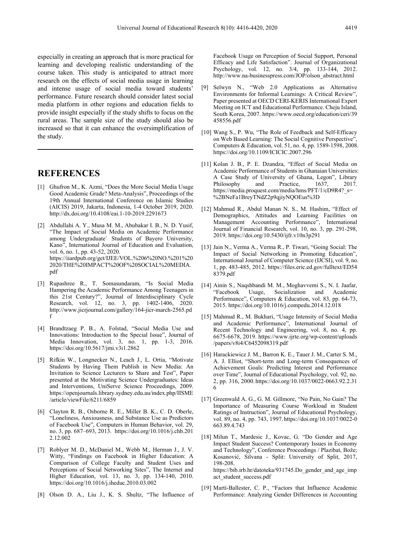especially in creating an approach that is more practical for learning and developing realistic understanding of the course taken. This study is anticipated to attract more research on the effects of social media usage in learning and intense usage of social media toward students' performance. Future research should consider latest social media platform in other regions and education fields to provide insight especially if the study shifts to focus on the rural areas. The sample size of the study should also be increased so that it can enhance the oversimplification of the study.

### **REFERENCES**

- [1] Ghufron M., K. Azmi, "Does the More Social Media Usage Good Academic Grade? Meta-Analysis", Proceedings of the 19th Annual International Conference on Islamic Studies (AICIS) 2019, Jakarta, Indonesia, 1-4 October 2019, 2020. http://dx.doi.org/10.4108/eai.1-10-2019.2291673
- [2] Abdullahi A. Y., Musa M. M., Abubakar I. B., N. D. Yusif, "The Impact of Social Media on Academic Performance among Undergraduate` Students of Bayero University, Kano", International Journal of Education and Evaluation, vol. 6, no. 1, pp. 43-52, 2020. https://iiardpub.org/get/IJEE/VOL.%206%20NO.%201%20 2020/THE%20IMPACT%20OF%20SOCIAL%20MEDIA. pdf
- [3] Rupashree R., T. Somasundaram, "Is Social Media Hampering the Academic Performance Among Teenagers in this 21st Century?", Journal of Interdisciplinary Cycle Research, vol. 12, no. 3, pp. 1402-1406, 2020. http://www.jicrjournal.com/gallery/164-jicr-march-2565.pd f
- [4] Brandtzaeg P. B., A. Folstad, "Social Media Use and Innovations: Introduction to the Special Issue", Journal of Media Innovation, vol. 3, no. 1, pp. 1-3, 2016. https://doi.org/10.5617/jmi.v3i1.2862
- [5] Rifkin W., Longnecker N., Leach J., L. Ortia, "Motivate Students by Having Them Publish in New Media: An Invitation to Science Lecturers to Share and Test", Paper presented at the Motivating Science Undergraduates: Ideas and Interventions, UniServe Science Proceedings, 2009. https://openjournals.library.sydney.edu.au/index.php/IISME /article/viewFile/6211/6859
- [6] Clayton R. B., Osborne R. E., Miller B. K., C. D. Oberle, "Loneliness, Anxiousness, and Substance Use as Predictors of Facebook Use", Computers in Human Behavior, vol. 29, no. 3, pp. 687–693, 2013. https://doi.org/10.1016/j.chb.201 2.12.002
- [7] Roblyer M. D., McDaniel M., Webb M., Herman J., J. V. Witty, "Findings on Facebook in Higher Education: A Comparison of College Faculty and Student Uses and Perceptions of Social Networking Sites", The Internet and Higher Education, vol. 13, no. 3, pp. 134-140, 2010. https://doi.org/10.1016/j.iheduc.2010.03.002
- [8] Olson D. A., Liu J., K. S. Shultz, "The Influence of

Facebook Usage on Perception of Social Support, Personal Efficacy and Life Satisfaction". Journal of Organizational Psychology, vol. 12, no. 3/4, pp. 133-144, 2012. http://www.na-businesspress.com/JOP/olson\_abstract.html

- [9] Selwyn N., "Web 2.0 Applications as Alternative Environments for Informal Learnings: A Critical Review", Paper presented at OECD CERI-KERIS International Expert Meeting on ICT and Educational Performance. Cheju Island, South Korea, 2007. https://www.oecd.org/education/ceri/39 458556.pdf
- [10] Wang S., P. Wu, "The Role of Feedback and Self-Efficacy on Web Based Learning: The Social Cognitive Perspective' Computers & Education, vol. 51, no. 4, pp. 1589-1598, 2008. https://doi.org/10.1109/ICICIC.2007.296
- [11] Kolan J. B., P. E. Dzandza, "Effect of Social Media on Academic Performance of Students in Ghanaian Universities: A Case Study of University of Ghana, Legon", Library<br>Philosophy and Practice, 1637, 2017. Philosophy and Practice, 1637, 2017. https://media.proquest.com/media/hms/PFT/1/cD9R4?\_s= %2BNeFa1BreyTNdZ2p9qjiyNQOEus%3D
- [12] Mahmud R., Abdul Manan N. S., M. Hashim, "Effect of Demographics, Attitudes and Learning Facilities on Management Accounting Performance", International Journal of Financial Research, vol. 10, no. 3, pp. 291-298, 2019. https://doi.org/10.5430/ijfr.v10n3p291
- [13] Jain N., Verma A., Verma R., P. Tiwari, "Going Social: The Impact of Social Networking in Promoting Education", International Journal of Computer Science (IJCSI), vol. 9, no. 1, pp. 483-485, 2012. https://files.eric.ed.gov/fulltext/ED54 8379.pdf
- [14] Ainin S., Naqshbandi M. M., Moghavvemi S., N. I. Jaafar, "Facebook Usage, Socialization and Academic Performance", Computers & Education, vol. 83, pp. 64-73, 2015. https://doi.org/10.1016/j.compedu.2014.12.018
- [15] Mahmud R., M. Bukhari, "Usage Intensity of Social Media and Academic Performance", International Journal of Recent Technology and Engineering, vol. 8, no. 4, pp. 6675-6678, 2019. https://www.ijrte.org/wp-content/uploads /papers/v8i4/C6452098319.pdf
- [16] Harackiewicz J. M., Barron K. E., Tauer J. M., Carter S. M., A. J. Elliot, "Short-term and Long-term Consequences of Achievement Goals: Predicting Interest and Performance over Time", Journal of Educational Psychology, vol. 92, no. 2, pp. 316, 2000. https://doi.org/10.1037/0022-0663.92.2.31 6
- [17] Greenwald A. G., G. M. Gillmore, "No Pain, No Gain? The Importance of Measuring Course Workload in Student Ratings of Instruction", Journal of Educational Psychology, vol. 89, no. 4, pp. 743, 1997.https://doi.org/10.1037/0022-0 663.89.4.743
- [18] Milun T., Mardesic J., Kovac, G. "Do Gender and Age Impact Student Success? Contemporary Issues in Economy and Technology", Conference Proceedings / Plazibat, Bože; Kosanović, Silvana - Split: University of Split, 2017, 198-208. https://bib.irb.hr/datoteka/931745.Do\_gender\_and\_age\_imp act\_student\_success.pdf
- [19] Martí-Ballester, C. P., "Factors that Influence Academic Performance: Analyzing Gender Differences in Accounting